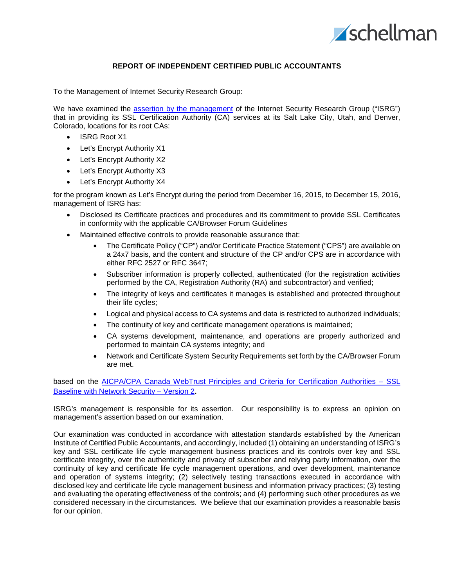

## **REPORT OF INDEPENDENT CERTIFIED PUBLIC ACCOUNTANTS**

To the Management of Internet Security Research Group:

We have examined the assertion [by the management](#page-2-0) of the Internet Security Research Group ("ISRG") that in providing its SSL Certification Authority (CA) services at its Salt Lake City, Utah, and Denver, Colorado, locations for its root CAs:

- ISRG Root X1
- Let's Encrypt Authority X1
- Let's Encrypt Authority X2
- Let's Encrypt Authority X3
- Let's Encrypt Authority X4

for the program known as Let's Encrypt during the period from December 16, 2015, to December 15, 2016, management of ISRG has:

- Disclosed its Certificate practices and procedures and its commitment to provide SSL Certificates in conformity with the applicable CA/Browser Forum Guidelines
- Maintained effective controls to provide reasonable assurance that:
	- The Certificate Policy ("CP") and/or Certificate Practice Statement ("CPS") are available on a 24x7 basis, and the content and structure of the CP and/or CPS are in accordance with either RFC 2527 or RFC 3647;
	- Subscriber information is properly collected, authenticated (for the registration activities performed by the CA, Registration Authority (RA) and subcontractor) and verified;
	- The integrity of keys and certificates it manages is established and protected throughout their life cycles;
	- Logical and physical access to CA systems and data is restricted to authorized individuals;
	- The continuity of key and certificate management operations is maintained;
	- CA systems development, maintenance, and operations are properly authorized and performed to maintain CA systems integrity; and
	- Network and Certificate System Security Requirements set forth by the CA/Browser Forum are met.

based on the [AICPA/CPA Canada WebTrust Principles and Criteria for Certification Authorities –](http://www.webtrust.org/homepage-documents/item79806.pdf) SSL [Baseline with Network Security –](http://www.webtrust.org/homepage-documents/item79806.pdf) Version 2.

ISRG's management is responsible for its assertion. Our responsibility is to express an opinion on management's assertion based on our examination.

Our examination was conducted in accordance with attestation standards established by the American Institute of Certified Public Accountants, and accordingly, included (1) obtaining an understanding of ISRG's key and SSL certificate life cycle management business practices and its controls over key and SSL certificate integrity, over the authenticity and privacy of subscriber and relying party information, over the continuity of key and certificate life cycle management operations, and over development, maintenance and operation of systems integrity; (2) selectively testing transactions executed in accordance with disclosed key and certificate life cycle management business and information privacy practices; (3) testing and evaluating the operating effectiveness of the controls; and (4) performing such other procedures as we considered necessary in the circumstances. We believe that our examination provides a reasonable basis for our opinion.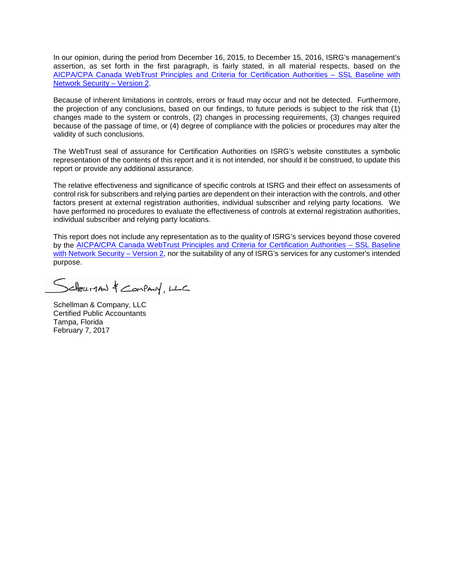In our opinion, during the period from December 16, 2015, to December 15, 2016, ISRG's management's assertion, as set forth in the first paragraph, is fairly stated, in all material respects, based on the [AICPA/CPA Canada WebTrust Principles and Criteria for Certification Authorities –](http://www.webtrust.org/homepage-documents/item79806.pdf) SSL Baseline with [Network Security –](http://www.webtrust.org/homepage-documents/item79806.pdf) Version 2.

Because of inherent limitations in controls, errors or fraud may occur and not be detected. Furthermore, the projection of any conclusions, based on our findings, to future periods is subject to the risk that (1) changes made to the system or controls, (2) changes in processing requirements, (3) changes required because of the passage of time, or (4) degree of compliance with the policies or procedures may alter the validity of such conclusions.

The WebTrust seal of assurance for Certification Authorities on ISRG's website constitutes a symbolic representation of the contents of this report and it is not intended, nor should it be construed, to update this report or provide any additional assurance.

The relative effectiveness and significance of specific controls at ISRG and their effect on assessments of control risk for subscribers and relying parties are dependent on their interaction with the controls, and other factors present at external registration authorities, individual subscriber and relying party locations. We have performed no procedures to evaluate the effectiveness of controls at external registration authorities, individual subscriber and relying party locations.

This report does not include any representation as to the quality of ISRG's services beyond those covered by the [AICPA/CPA Canada WebTrust Principles and Criteria for Certification Authorities –](http://www.webtrust.org/homepage-documents/item79806.pdf) SSL Baseline [with Network Security –](http://www.webtrust.org/homepage-documents/item79806.pdf) Version 2, nor the suitability of any of ISRG's services for any customer's intended purpose.

Scheuman & Company, LLC

Schellman & Company, LLC Certified Public Accountants Tampa, Florida February 7, 2017